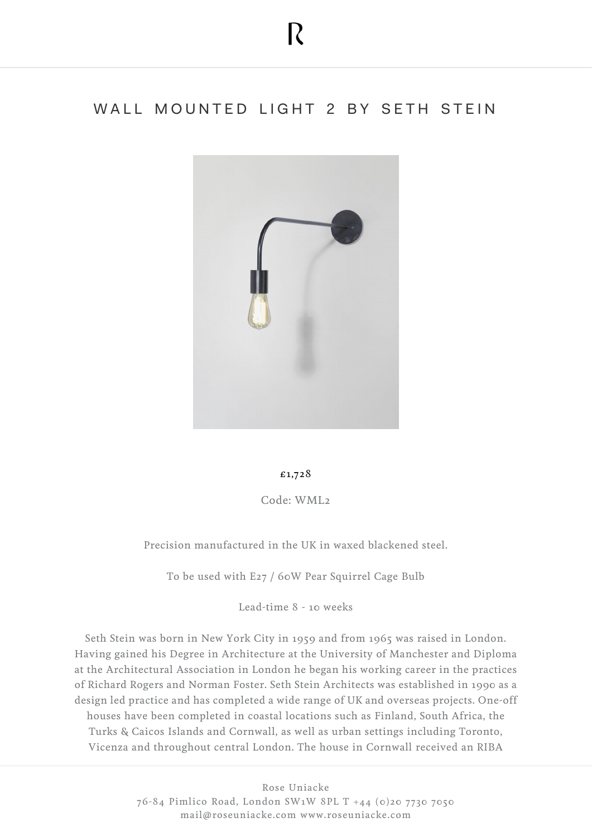## WALL MOUNTED LIGHT 2 BY SETH STEIN



## £1,728

Code: WML2

Precision manufactured in the UK in waxed blackened steel.

To be used with E27 / 60W Pear Squirrel Cage Bulb

Lead-time 8 - 10 weeks

Seth Stein was born in New York City in 1959 and from 1965 was raised in London. Having gained his Degree in Architecture at the University of Manchester and Diploma at the Architectural Association in London he began his working career in the practices of Richard Rogers and Norman Foster. Seth Stein Architects was established in 1990 as a design led practice and has completed a wide range of UK and overseas projects. One-off houses have been completed in coastal locations such as Finland, South Africa, the Turks & Caicos Islands and Cornwall, as well as urban settings including Toronto, Vicenza and throughout central London. The house in Cornwall received an RIBA